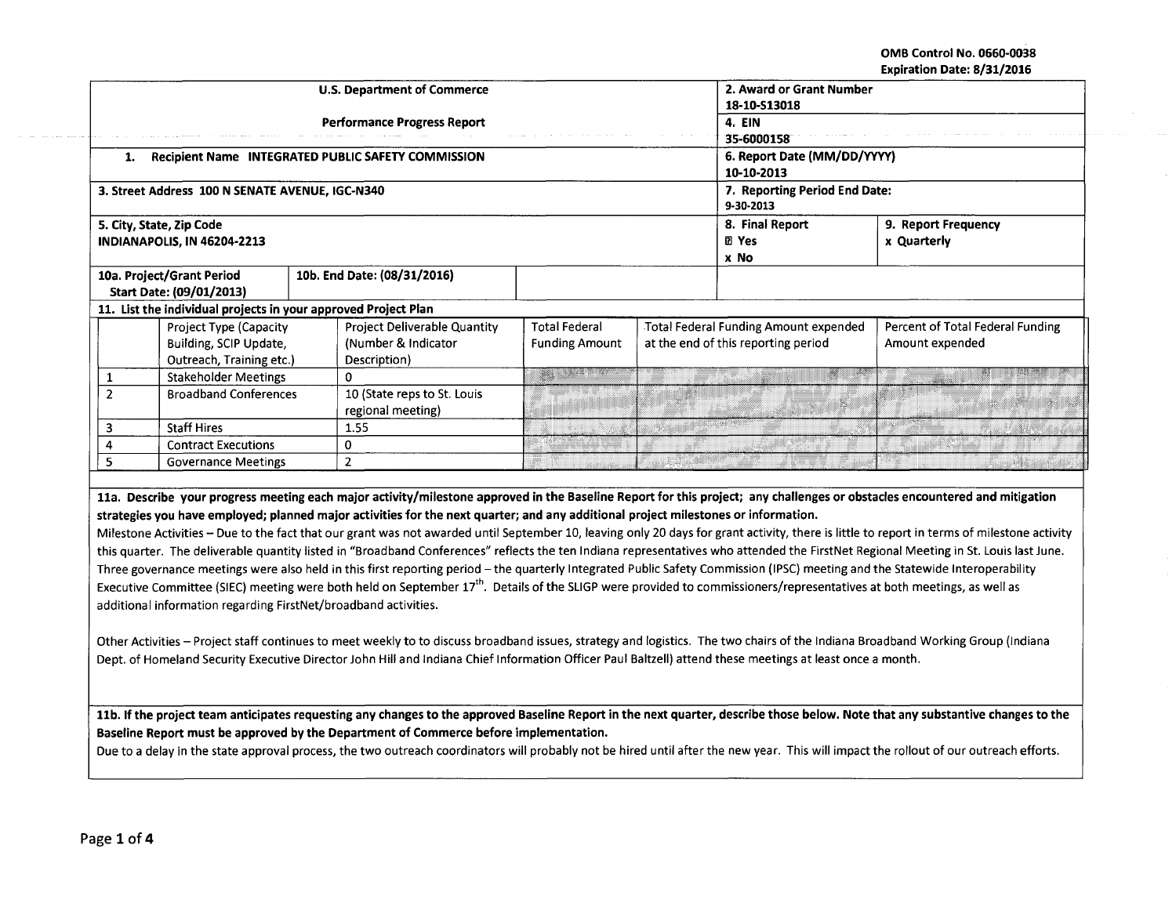OMB Control No. 0660-0038 Expiration Date: 8/31/2016

المقفان والمتعاقب

 $\sim 10^7$ 

|                                                          |                                                                              | <b>U.S. Department of Commerce</b><br><b>Performance Progress Report</b>                                                                                                                                                                                                                                                                                                                                                                                                                                                                                                                                                                                                                                                                                                                                                                                                                                                                                            |                                               | 2. Award or Grant Number<br>18-10-S13018<br>4. EIN<br>35-6000158 |                                                                              |                                                     |  |
|----------------------------------------------------------|------------------------------------------------------------------------------|---------------------------------------------------------------------------------------------------------------------------------------------------------------------------------------------------------------------------------------------------------------------------------------------------------------------------------------------------------------------------------------------------------------------------------------------------------------------------------------------------------------------------------------------------------------------------------------------------------------------------------------------------------------------------------------------------------------------------------------------------------------------------------------------------------------------------------------------------------------------------------------------------------------------------------------------------------------------|-----------------------------------------------|------------------------------------------------------------------|------------------------------------------------------------------------------|-----------------------------------------------------|--|
| Recipient Name INTEGRATED PUBLIC SAFETY COMMISSION<br>1. |                                                                              |                                                                                                                                                                                                                                                                                                                                                                                                                                                                                                                                                                                                                                                                                                                                                                                                                                                                                                                                                                     |                                               |                                                                  | 6. Report Date (MM/DD/YYYY)<br>10-10-2013                                    |                                                     |  |
|                                                          | 3. Street Address 100 N SENATE AVENUE, IGC-N340                              |                                                                                                                                                                                                                                                                                                                                                                                                                                                                                                                                                                                                                                                                                                                                                                                                                                                                                                                                                                     |                                               | 7. Reporting Period End Date:<br>9-30-2013                       |                                                                              |                                                     |  |
|                                                          | 5. City, State, Zip Code<br>INDIANAPOLIS, IN 46204-2213                      |                                                                                                                                                                                                                                                                                                                                                                                                                                                                                                                                                                                                                                                                                                                                                                                                                                                                                                                                                                     |                                               | 8. Final Report<br><b>团 Yes</b><br>x No                          | 9. Report Frequency<br>x Quarterly                                           |                                                     |  |
|                                                          | 10a. Project/Grant Period<br>Start Date: (09/01/2013)                        | 10b. End Date: (08/31/2016)                                                                                                                                                                                                                                                                                                                                                                                                                                                                                                                                                                                                                                                                                                                                                                                                                                                                                                                                         |                                               |                                                                  |                                                                              |                                                     |  |
|                                                          |                                                                              | 11. List the individual projects in your approved Project Plan                                                                                                                                                                                                                                                                                                                                                                                                                                                                                                                                                                                                                                                                                                                                                                                                                                                                                                      |                                               |                                                                  |                                                                              |                                                     |  |
|                                                          | Project Type (Capacity<br>Building, SCIP Update,<br>Outreach, Training etc.) | Project Deliverable Quantity<br>(Number & Indicator<br>Description)                                                                                                                                                                                                                                                                                                                                                                                                                                                                                                                                                                                                                                                                                                                                                                                                                                                                                                 | <b>Total Federal</b><br><b>Funding Amount</b> |                                                                  | Total Federal Funding Amount expended<br>at the end of this reporting period | Percent of Total Federal Funding<br>Amount expended |  |
| 1                                                        | <b>Stakeholder Meetings</b>                                                  | $\mathbf{0}$                                                                                                                                                                                                                                                                                                                                                                                                                                                                                                                                                                                                                                                                                                                                                                                                                                                                                                                                                        | <u>gan sa mga mga pag</u>                     |                                                                  |                                                                              | ,,,,,,,,,,,                                         |  |
| $\overline{2}$                                           | <b>Broadband Conferences</b>                                                 | 10 (State reps to St. Louis<br>regional meeting)                                                                                                                                                                                                                                                                                                                                                                                                                                                                                                                                                                                                                                                                                                                                                                                                                                                                                                                    |                                               |                                                                  |                                                                              |                                                     |  |
| 3                                                        | <b>Staff Hires</b>                                                           | 1.55                                                                                                                                                                                                                                                                                                                                                                                                                                                                                                                                                                                                                                                                                                                                                                                                                                                                                                                                                                |                                               |                                                                  |                                                                              |                                                     |  |
| 4                                                        | <b>Contract Executions</b>                                                   | $\overline{0}$                                                                                                                                                                                                                                                                                                                                                                                                                                                                                                                                                                                                                                                                                                                                                                                                                                                                                                                                                      |                                               |                                                                  |                                                                              |                                                     |  |
| 5                                                        | <b>Governance Meetings</b>                                                   | $\overline{2}$                                                                                                                                                                                                                                                                                                                                                                                                                                                                                                                                                                                                                                                                                                                                                                                                                                                                                                                                                      |                                               |                                                                  |                                                                              |                                                     |  |
|                                                          |                                                                              | 11a. Describe your progress meeting each major activity/milestone approved in the Baseline Report for this project; any challenges or obstacles encountered and mitigation                                                                                                                                                                                                                                                                                                                                                                                                                                                                                                                                                                                                                                                                                                                                                                                          |                                               |                                                                  |                                                                              |                                                     |  |
|                                                          |                                                                              | strategies you have employed; planned major activities for the next quarter; and any additional project milestones or information.<br>Milestone Activities - Due to the fact that our grant was not awarded until September 10, leaving only 20 days for grant activity, there is little to report in terms of milestone activity<br>this quarter. The deliverable quantity listed in "Broadband Conferences" reflects the ten Indiana representatives who attended the FirstNet Regional Meeting in St. Louis last June.<br>Three governance meetings were also held in this first reporting period - the quarterly Integrated Public Safety Commission (IPSC) meeting and the Statewide Interoperability<br>Executive Committee (SIEC) meeting were both held on September 17 <sup>th</sup> . Details of the SLIGP were provided to commissioners/representatives at both meetings, as well as<br>additional information regarding FirstNet/broadband activities. |                                               |                                                                  |                                                                              |                                                     |  |

-·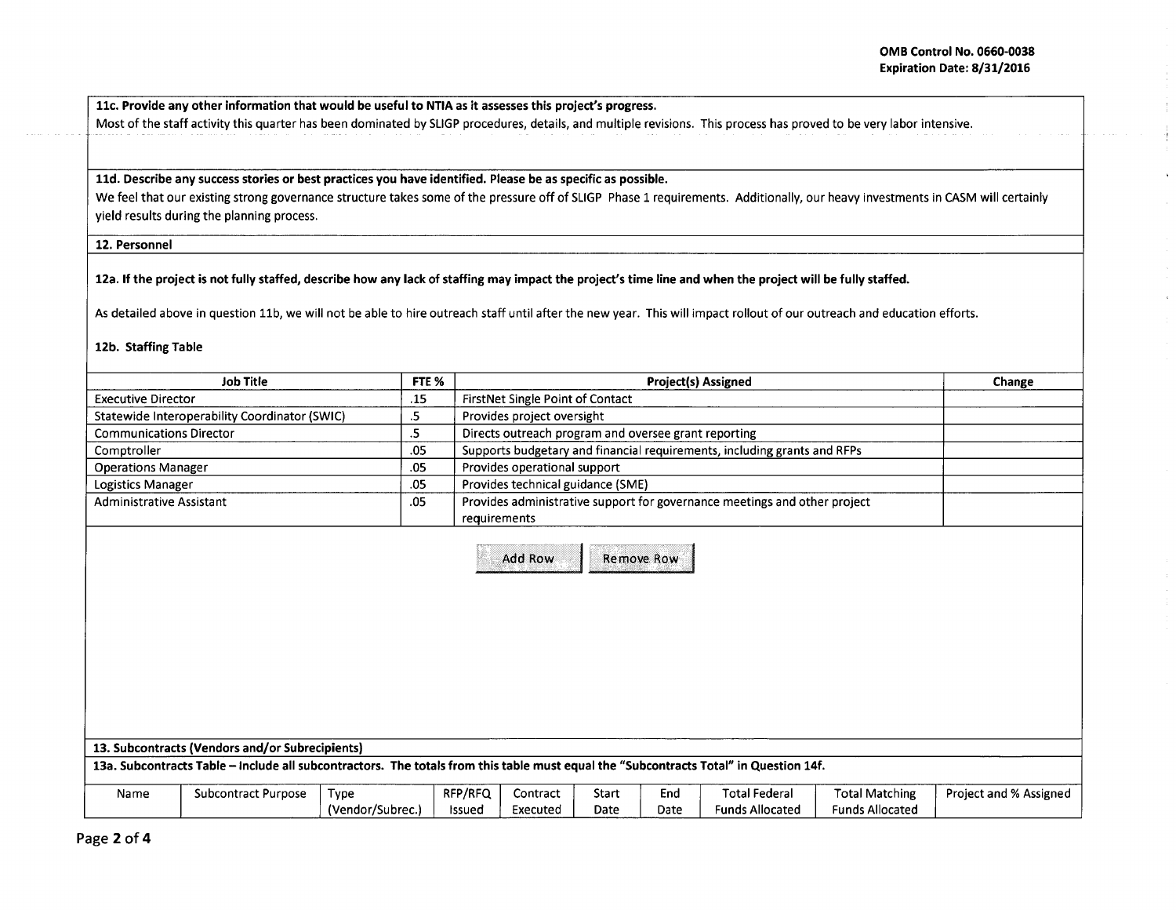llc. Provide any other information that would be useful to NTIA as it assesses this project's progress.

Most of the staff activity this quarter has been dominated by SLIGP procedures, details, and multiple revisions. This process has proved to be very labor intensive.

## lld. Describe any success stories or best practices you have identified. Please be as specific as possible.

We feel that our existing strong governance structure takes some of the pressure off of SLIGP Phase 1 requirements. Additionally, our heavy investments in CASM will certainly yield results during the planning process.

## 12. Personnel

## 12a. If the project is not fully staffed, describe how any lack of staffing may impact the project's time line and when the project will be fully staffed.

As detailed above in question 11b, we will not be able to hire outreach staff until after the new year. This will impact rollout of our outreach and education efforts.

## 12b. Staffing Table

|                                 | <b>Job Title</b>                                                                                                                      | FTE %            |               |                                                      |            |      | <b>Project(s) Assigned</b>                                                |                        | Change                 |
|---------------------------------|---------------------------------------------------------------------------------------------------------------------------------------|------------------|---------------|------------------------------------------------------|------------|------|---------------------------------------------------------------------------|------------------------|------------------------|
| <b>Executive Director</b>       |                                                                                                                                       | .15              |               | FirstNet Single Point of Contact                     |            |      |                                                                           |                        |                        |
|                                 | Statewide Interoperability Coordinator (SWIC)                                                                                         | .5               |               | Provides project oversight                           |            |      |                                                                           |                        |                        |
| <b>Communications Director</b>  |                                                                                                                                       | .5               |               | Directs outreach program and oversee grant reporting |            |      |                                                                           |                        |                        |
| Comptroller                     |                                                                                                                                       | .05              |               |                                                      |            |      | Supports budgetary and financial requirements, including grants and RFPs  |                        |                        |
| <b>Operations Manager</b>       |                                                                                                                                       | .05              |               | Provides operational support                         |            |      |                                                                           |                        |                        |
| Logistics Manager               |                                                                                                                                       | .05              |               | Provides technical guidance (SME)                    |            |      |                                                                           |                        |                        |
| <b>Administrative Assistant</b> |                                                                                                                                       | .05              |               | requirements                                         |            |      | Provides administrative support for governance meetings and other project |                        |                        |
|                                 |                                                                                                                                       |                  |               | Add Row                                              | Remove Row |      |                                                                           |                        |                        |
|                                 | 13. Subcontracts (Vendors and/or Subrecipients)                                                                                       |                  |               |                                                      |            |      |                                                                           |                        |                        |
|                                 | 13a. Subcontracts Table - include all subcontractors. The totals from this table must equal the "Subcontracts Total" in Question 14f. |                  |               |                                                      |            |      |                                                                           |                        |                        |
| Name                            | <b>Subcontract Purpose</b>                                                                                                            | <b>Type</b>      | RFP/RFQ       | Contract                                             | Start      | End  | <b>Total Federal</b>                                                      | <b>Total Matching</b>  | Project and % Assigned |
|                                 |                                                                                                                                       | (Vendor/Subrec.) | <b>Issued</b> | Executed                                             | Date       | Date | <b>Funds Allocated</b>                                                    | <b>Funds Allocated</b> |                        |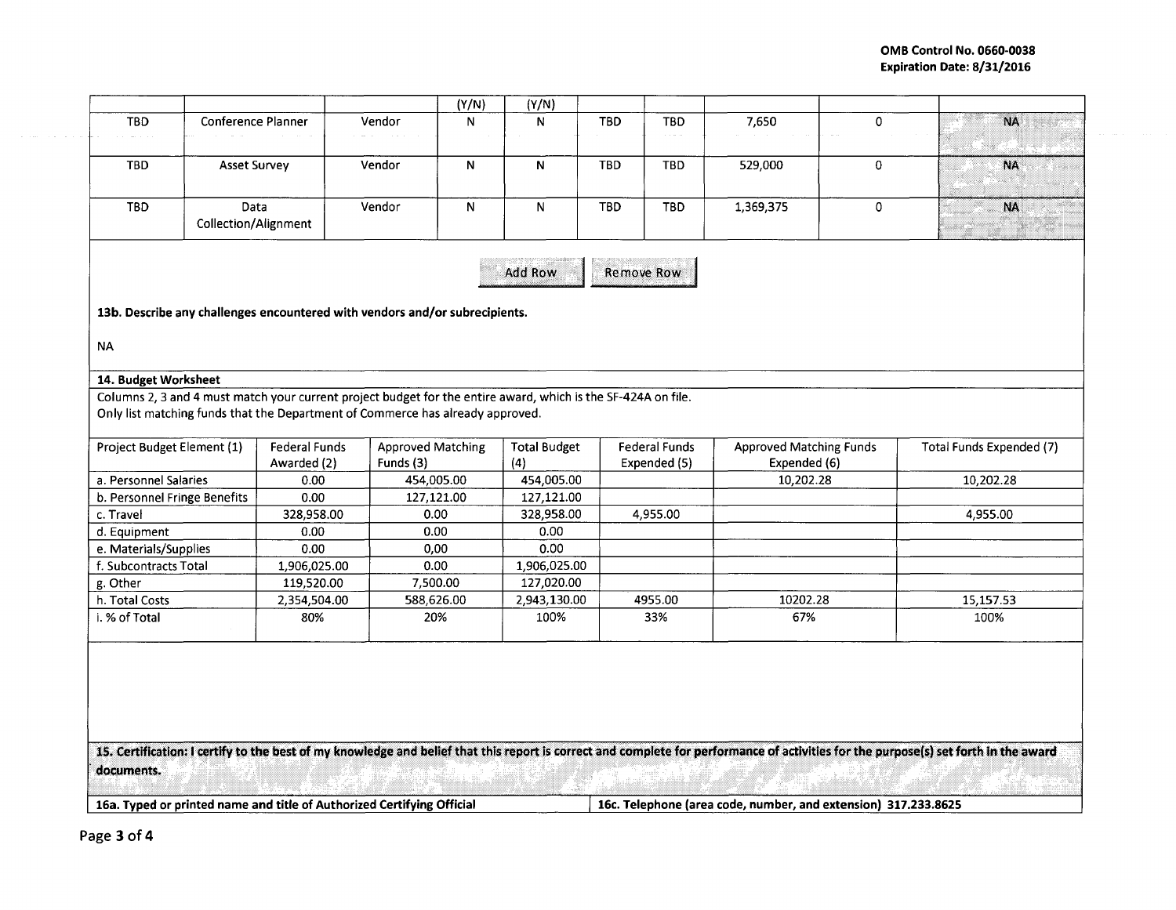| <b>TBD</b>                 |                              |                                                                                                               |           | (Y/N)                    | (Y/N)               |            |                      |                                |             |                          |
|----------------------------|------------------------------|---------------------------------------------------------------------------------------------------------------|-----------|--------------------------|---------------------|------------|----------------------|--------------------------------|-------------|--------------------------|
|                            | Conference Planner           |                                                                                                               | Vendor    | N                        | N                   | <b>TBD</b> | <b>TBD</b>           | 7,650                          | 0           | <b>NA</b>                |
| <b>TBD</b>                 | <b>Asset Survey</b>          |                                                                                                               | Vendor    | N                        | N                   | <b>TBD</b> | <b>TBD</b>           | 529,000                        | $\mathbf 0$ | NA.                      |
|                            |                              |                                                                                                               |           |                          |                     |            |                      |                                |             |                          |
| <b>TBD</b>                 | Data<br>Collection/Alignment |                                                                                                               | Vendor    | N                        | $\mathsf{N}$        | <b>TBD</b> | <b>TBD</b>           | 1,369,375                      | 0           | <b>NA</b>                |
|                            |                              |                                                                                                               |           |                          | Add Row             |            | Remove Row           |                                |             |                          |
|                            |                              |                                                                                                               |           |                          |                     |            |                      |                                |             |                          |
|                            |                              | 13b. Describe any challenges encountered with vendors and/or subrecipients.                                   |           |                          |                     |            |                      |                                |             |                          |
|                            |                              |                                                                                                               |           |                          |                     |            |                      |                                |             |                          |
| <b>NA</b>                  |                              |                                                                                                               |           |                          |                     |            |                      |                                |             |                          |
| 14. Budget Worksheet       |                              |                                                                                                               |           |                          |                     |            |                      |                                |             |                          |
|                            |                              | Columns 2, 3 and 4 must match your current project budget for the entire award, which is the SF-424A on file. |           |                          |                     |            |                      |                                |             |                          |
|                            |                              |                                                                                                               |           |                          |                     |            |                      |                                |             |                          |
|                            |                              |                                                                                                               |           |                          |                     |            |                      |                                |             |                          |
|                            |                              | Only list matching funds that the Department of Commerce has already approved.                                |           |                          |                     |            |                      |                                |             |                          |
|                            |                              |                                                                                                               |           |                          |                     |            |                      |                                |             |                          |
| Project Budget Element (1) |                              | <b>Federal Funds</b>                                                                                          |           | <b>Approved Matching</b> | <b>Total Budget</b> |            | <b>Federal Funds</b> | <b>Approved Matching Funds</b> |             | Total Funds Expended (7) |
| a. Personnel Salaries      |                              | Awarded (2)<br>0.00                                                                                           | Funds (3) | 454,005.00               | (4)<br>454,005.00   |            | Expended (5)         | Expended (6)<br>10,202.28      |             | 10,202.28                |
|                            | b. Personnel Fringe Benefits | 0.00                                                                                                          |           | 127,121.00               | 127,121.00          |            |                      |                                |             |                          |
| c. Travel                  |                              | 328,958.00                                                                                                    |           | 0.00                     | 328,958.00          |            | 4,955.00             |                                |             |                          |
| d. Equipment               |                              | 0.00                                                                                                          |           | 0.00                     | 0.00                |            |                      |                                |             |                          |
| e. Materials/Supplies      |                              | 0.00                                                                                                          |           | 0,00                     | 0.00                |            |                      |                                |             |                          |
| f. Subcontracts Total      |                              | 1,906,025.00                                                                                                  |           | 0.00                     | 1,906,025.00        |            |                      |                                |             |                          |
| g. Other                   |                              | 119,520.00                                                                                                    |           | 7,500.00                 | 127,020.00          |            |                      |                                |             | 4,955.00                 |
| h. Total Costs             |                              | 2,354,504.00                                                                                                  |           | 588,626.00               | 2,943,130.00        |            | 4955.00              | 10202.28                       |             | 15,157.53                |